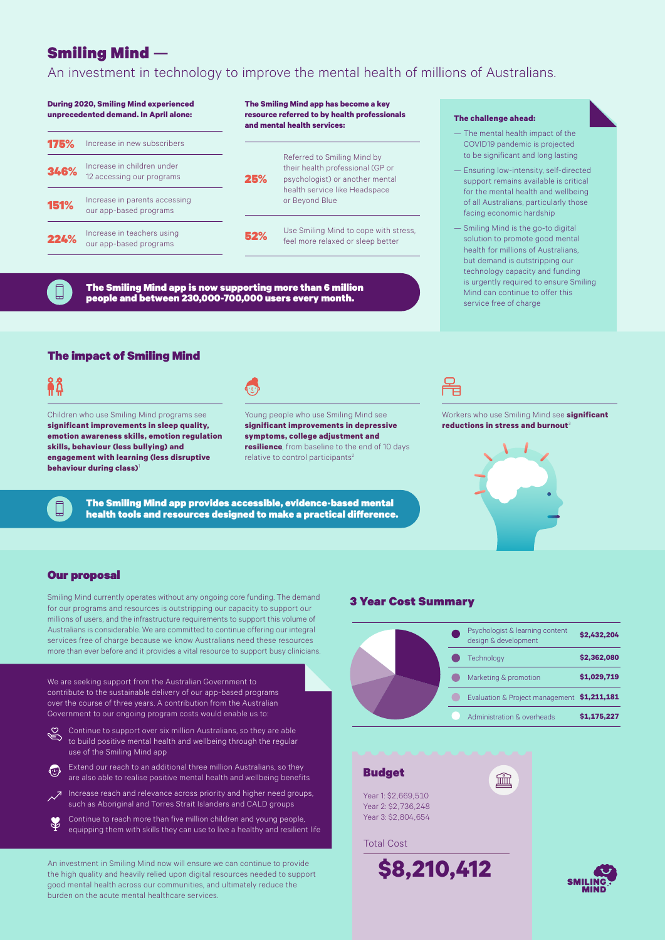# Smiling Mind —

An investment in technology to improve the mental health of millions of Australians.

#### Increase in new subscribers Referred to Smiling Mind by their health professional (GP or psychologist) or another mental health service like Headspace or Beyond Blue Increase in children under 346% Increase in children under<br>
12 accessing our programs<br>
25% Use Smiling Mind to cope with stress, feel more relaxed or sleep better Increase in parents accessing our app-based programs Increase in teachers using our app-based programs **During 2020, Smiling Mind experienced unprecedented demand. In April alone:** 175% 52% 151% 224% **The Smiling Mind app has become a key resource referred to by health professionals and mental health services:**

The Smiling Mind app is now supporting more than 6 million people and between 230,000-700,000 users every month.

#### **The challenge ahead:**

- The mental health impact of the COVID19 pandemic is projected to be significant and long lasting
- Ensuring low-intensity, self-directed support remains available is critical for the mental health and wellbeing of all Australians, particularly those facing economic hardship
- Smiling Mind is the go-to digital solution to promote good mental health for millions of Australians, but demand is outstripping our technology capacity and funding is urgently required to ensure Smiling Mind can continue to offer this service free of charge

### The impact of Smiling Mind

|                                                                                                                                                                                                                                                | <b>Service Service</b>                                                                                                                     |
|------------------------------------------------------------------------------------------------------------------------------------------------------------------------------------------------------------------------------------------------|--------------------------------------------------------------------------------------------------------------------------------------------|
|                                                                                                                                                                                                                                                | <b>Contract Contract Contract Contract Contract Contract Contract Contract Contract Contract Contract Contract Co</b>                      |
| <b>Contract Contract Contract Contract Contract Contract Contract Contract Contract Contract Contract Contract Co</b><br><b>Contract Contract Contract Contract Contract Contract Contract Contract Contract Contract Contract Contract Co</b> | <b>CONTRACTOR</b><br><b>CONTRACTOR</b><br><b>Service Service</b>                                                                           |
| <b>CONTRACTOR</b><br><b>CONTRACTOR</b>                                                                                                                                                                                                         | <b>Contract Contract Contract Contract Contract Contract Contract Contract Contract Contract Contract Contract Co</b><br><b>CONTRACTOR</b> |

Children who use Smiling Mind programs see **significant improvements in sleep quality, emotion awareness skills, emotion regulation skills, behaviour (less bullying) and engagement with learning (less disruptive behaviour during class)** 



Young people who use Smiling Mind see **significant improvements in depressive symptoms, college adjustment and resilience**, from baseline to the end of 10 days relative to control participants<sup>2</sup>

The Smiling Mind app provides accessible, evidence-based mental health tools and resources designed to make a practical difference.



Workers who use Smiling Mind see **significant reductions in stress and burnout** 



#### Our proposal

Smiling Mind currently operates without any ongoing core funding. The demand for our programs and resources is outstripping our capacity to support our millions of users, and the infrastructure requirements to support this volume of Australians is considerable. We are committed to continue offering our integral services free of charge because we know Australians need these resources more than ever before and it provides a vital resource to support busy clinicians.

We are seeking support from the Australian Government to contribute to the sustainable delivery of our app-based programs over the course of three years. A contribution from the Australian Government to our ongoing program costs would enable us to:

Continue to support over six million Australians, so they are able to build positive mental health and wellbeing through the regular use of the Smiling Mind app

**Extend our reach to an additional three million Australians, so they** are also able to realise positive mental health and wellbeing benefits

Increase reach and relevance across priority and higher need groups, such as Aboriginal and Torres Strait Islanders and CALD groups

Continue to reach more than five million children and young people, equipping them with skills they can use to live a healthy and resilient life

An investment in Smiling Mind now will ensure we can continue to provide the high quality and heavily relied upon digital resources needed to support good mental health across our communities, and ultimately reduce the burden on the acute mental healthcare services.

## 3 Year Cost Summary



血

### Budget

Year 1: \$2,669,510 Year 2: \$2,736,248 Year 3: \$2,804,654

#### Total Cost